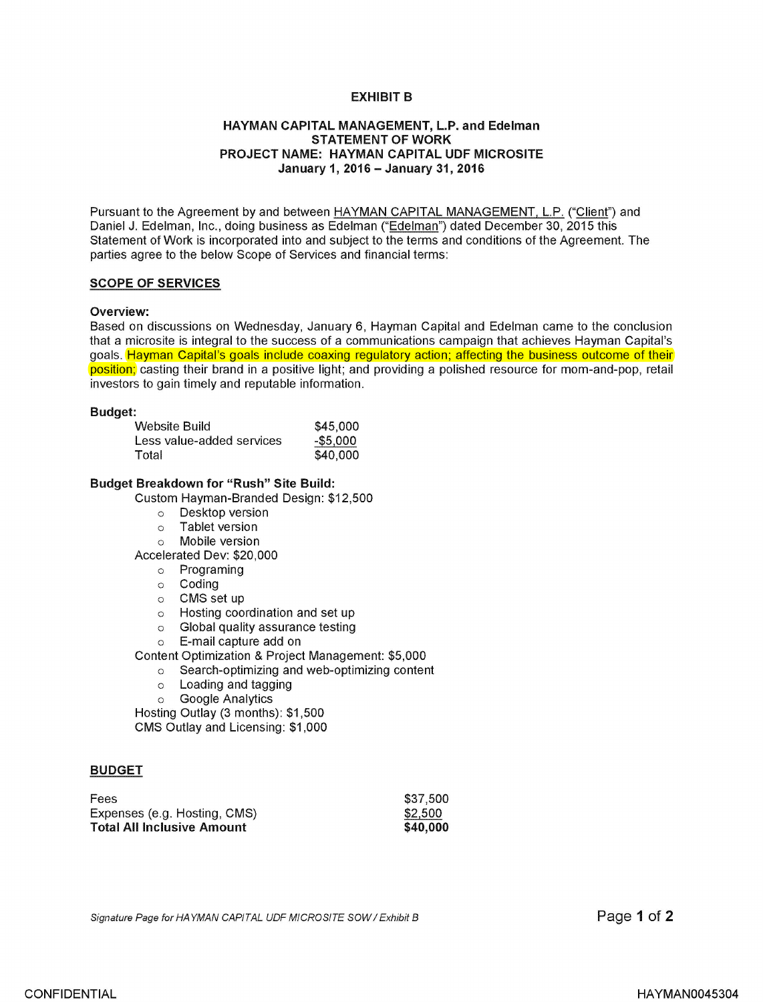## **EXHIBIT B**

## **HAYMAN CAPITAL MANAGEMENT, L.P. and Edelman STATEMENT OF WORK PROJECT NAME: HAYMAN CAPITAL UDF MICROSITE January 1, 2016** - **January 31, 2016**

Pursuant to the Agreement by and between HAYMAN CAPITAL MANAGEMENT, L.P. ("Client") and Daniel J. Edelman, Inc., doing business as Edelman ("Edelman") dated December 30, 2015 this Statement of Work is incorporated into and subject to the terms and conditions of the Agreement. The parties agree to the below Scope of Services and financial terms:

#### **SCOPE OF SERVICES**

#### **Overview:**

Based on discussions on Wednesday, January 6, Hayman Capital and Edelman came to the conclusion that a microsite is integral to the success of a communications campaign that achieves Hayman Capital's goals. Hayman Capital's goals include coaxing regulatory action; affecting the business outcome of their position; casting their brand in a positive light; and providing a polished resource for mom-and-pop, retail investors to gain timely and reputable information.

#### **Budget:**

| Website Build             | \$45,000    |
|---------------------------|-------------|
| Less value-added services | $-$ \$5,000 |
| Total                     | \$40,000    |

### **Budget Breakdown for "Rush" Site Build:**

Custom Hayman-Branded Design: \$12,500

- o Desktop version
- o Tablet version
- o Mobile version

Accelerated Dev: \$20,000

- o Programing
- o Coding
- o CMS set up
- o Hosting coordination and set up
- o Global quality assurance testing
- o E-mail capture add on

Content Optimization & Project Management: \$5,000

- o Search-optimizing and web-optimizing content
- o Loading and tagging
- o Google Analytics

Hosting Outlay (3 months): \$1,500 CMS Outlay and Licensing: \$1,000

### **BUDGET**

| Fees                              | \$37.500 |
|-----------------------------------|----------|
| Expenses (e.g. Hosting, CMS)      | \$2.500  |
| <b>Total All Inclusive Amount</b> | \$40,000 |

Signature Page for HAYMAN CAPITAL UDF MICROSITE SOW / Exhibit B

Page **1** of **2**